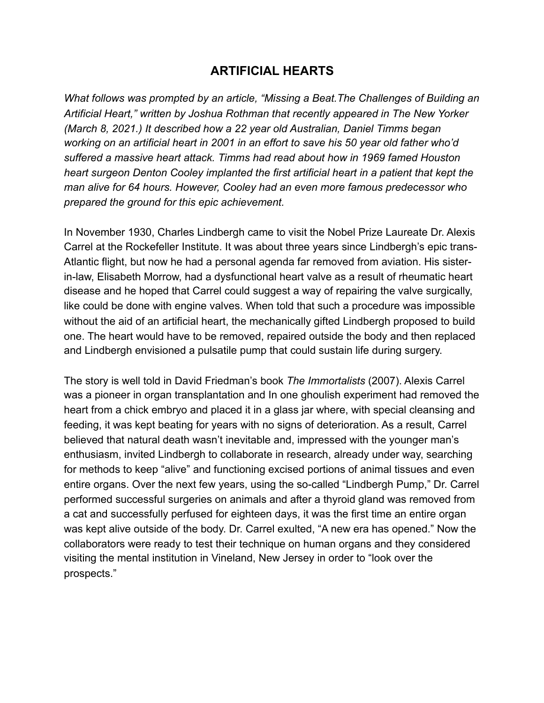## **ARTIFICIAL HEARTS**

*What follows was prompted by an article, "Missing a Beat.The Challenges of Building an Artificial Heart," written by Joshua Rothman that recently appeared in The New Yorker (March 8, 2021.) It described how a 22 year old Australian, Daniel Timms began working on an artificial heart in 2001 in an effort to save his 50 year old father who'd suffered a massive heart attack. Timms had read about how in 1969 famed Houston heart surgeon Denton Cooley implanted the first artificial heart in a patient that kept the man alive for 64 hours. However, Cooley had an even more famous predecessor who prepared the ground for this epic achievement.* 

In November 1930, Charles Lindbergh came to visit the Nobel Prize Laureate Dr. Alexis Carrel at the Rockefeller Institute. It was about three years since Lindbergh's epic trans-Atlantic flight, but now he had a personal agenda far removed from aviation. His sisterin-law, Elisabeth Morrow, had a dysfunctional heart valve as a result of rheumatic heart disease and he hoped that Carrel could suggest a way of repairing the valve surgically, like could be done with engine valves. When told that such a procedure was impossible without the aid of an artificial heart, the mechanically gifted Lindbergh proposed to build one. The heart would have to be removed, repaired outside the body and then replaced and Lindbergh envisioned a pulsatile pump that could sustain life during surgery.

The story is well told in David Friedman's book *The Immortalists* (2007). Alexis Carrel was a pioneer in organ transplantation and In one ghoulish experiment had removed the heart from a chick embryo and placed it in a glass jar where, with special cleansing and feeding, it was kept beating for years with no signs of deterioration. As a result, Carrel believed that natural death wasn't inevitable and, impressed with the younger man's enthusiasm, invited Lindbergh to collaborate in research, already under way, searching for methods to keep "alive" and functioning excised portions of animal tissues and even entire organs. Over the next few years, using the so-called "Lindbergh Pump," Dr. Carrel performed successful surgeries on animals and after a thyroid gland was removed from a cat and successfully perfused for eighteen days, it was the first time an entire organ was kept alive outside of the body. Dr. Carrel exulted, "A new era has opened." Now the collaborators were ready to test their technique on human organs and they considered visiting the mental institution in Vineland, New Jersey in order to "look over the prospects."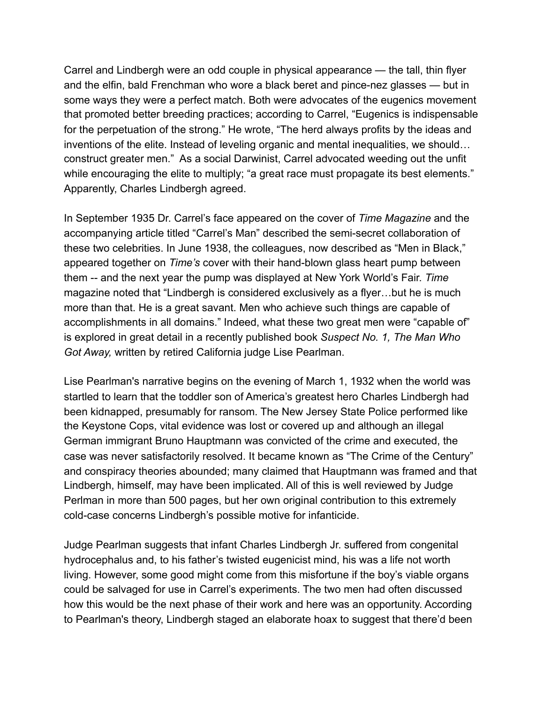Carrel and Lindbergh were an odd couple in physical appearance — the tall, thin flyer and the elfin, bald Frenchman who wore a black beret and pince-nez glasses — but in some ways they were a perfect match. Both were advocates of the eugenics movement that promoted better breeding practices; according to Carrel, "Eugenics is indispensable for the perpetuation of the strong." He wrote, "The herd always profits by the ideas and inventions of the elite. Instead of leveling organic and mental inequalities, we should… construct greater men." As a social Darwinist, Carrel advocated weeding out the unfit while encouraging the elite to multiply; "a great race must propagate its best elements." Apparently, Charles Lindbergh agreed.

In September 1935 Dr. Carrel's face appeared on the cover of *Time Magazine* and the accompanying article titled "Carrel's Man" described the semi-secret collaboration of these two celebrities. In June 1938, the colleagues, now described as "Men in Black," appeared together on *Time's* cover with their hand-blown glass heart pump between them -- and the next year the pump was displayed at New York World's Fair. *Time* magazine noted that "Lindbergh is considered exclusively as a flyer…but he is much more than that. He is a great savant. Men who achieve such things are capable of accomplishments in all domains." Indeed, what these two great men were "capable of" is explored in great detail in a recently published book *Suspect No. 1, The Man Who Got Away,* written by retired California judge Lise Pearlman.

Lise Pearlman's narrative begins on the evening of March 1, 1932 when the world was startled to learn that the toddler son of America's greatest hero Charles Lindbergh had been kidnapped, presumably for ransom. The New Jersey State Police performed like the Keystone Cops, vital evidence was lost or covered up and although an illegal German immigrant Bruno Hauptmann was convicted of the crime and executed, the case was never satisfactorily resolved. It became known as "The Crime of the Century" and conspiracy theories abounded; many claimed that Hauptmann was framed and that Lindbergh, himself, may have been implicated. All of this is well reviewed by Judge Perlman in more than 500 pages, but her own original contribution to this extremely cold-case concerns Lindbergh's possible motive for infanticide.

Judge Pearlman suggests that infant Charles Lindbergh Jr. suffered from congenital hydrocephalus and, to his father's twisted eugenicist mind, his was a life not worth living. However, some good might come from this misfortune if the boy's viable organs could be salvaged for use in Carrel's experiments. The two men had often discussed how this would be the next phase of their work and here was an opportunity. According to Pearlman's theory, Lindbergh staged an elaborate hoax to suggest that there'd been